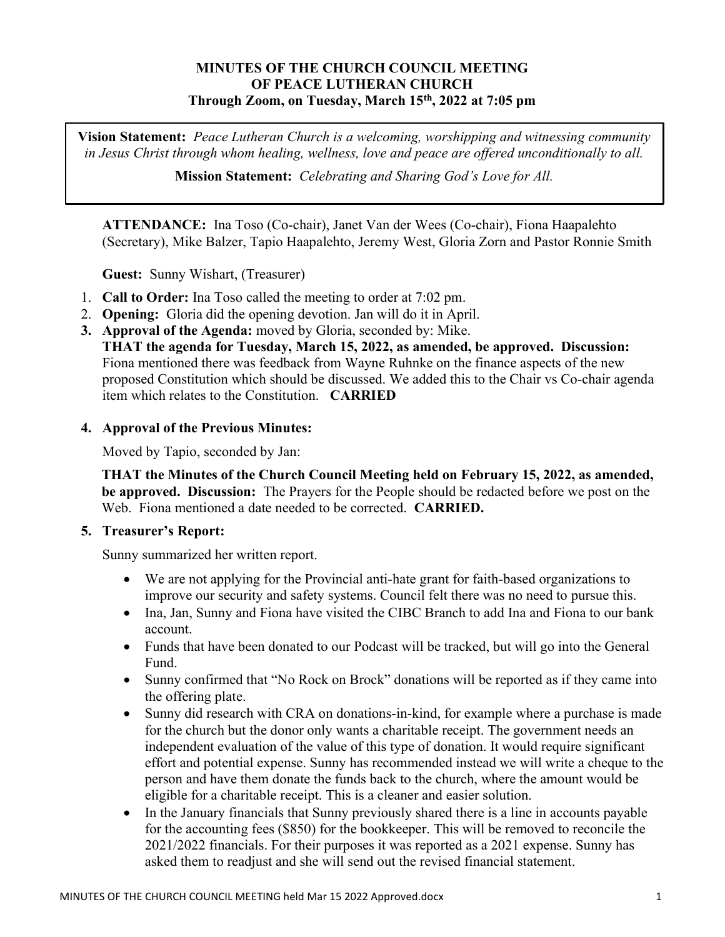# MINUTES OF THE CHURCH COUNCIL MEETING OF PEACE LUTHERAN CHURCH Through Zoom, on Tuesday, March 15th, 2022 at 7:05 pm

Vision Statement: Peace Lutheran Church is a welcoming, worshipping and witnessing community in Jesus Christ through whom healing, wellness, love and peace are offered unconditionally to all.

Mission Statement: Celebrating and Sharing God's Love for All.

ATTENDANCE: Ina Toso (Co-chair), Janet Van der Wees (Co-chair), Fiona Haapalehto (Secretary), Mike Balzer, Tapio Haapalehto, Jeremy West, Gloria Zorn and Pastor Ronnie Smith

Guest: Sunny Wishart, (Treasurer)

- 1. Call to Order: Ina Toso called the meeting to order at 7:02 pm.
- 2. Opening: Gloria did the opening devotion. Jan will do it in April.
- 3. Approval of the Agenda: moved by Gloria, seconded by: Mike.
	- THAT the agenda for Tuesday, March 15, 2022, as amended, be approved. Discussion: Fiona mentioned there was feedback from Wayne Ruhnke on the finance aspects of the new proposed Constitution which should be discussed. We added this to the Chair vs Co-chair agenda item which relates to the Constitution. CARRIED

# 4. Approval of the Previous Minutes:

Moved by Tapio, seconded by Jan:

THAT the Minutes of the Church Council Meeting held on February 15, 2022, as amended, be approved. Discussion: The Prayers for the People should be redacted before we post on the Web. Fiona mentioned a date needed to be corrected. CARRIED.

# 5. Treasurer's Report:

Sunny summarized her written report.

- We are not applying for the Provincial anti-hate grant for faith-based organizations to improve our security and safety systems. Council felt there was no need to pursue this.
- Ina, Jan, Sunny and Fiona have visited the CIBC Branch to add Ina and Fiona to our bank account.
- Funds that have been donated to our Podcast will be tracked, but will go into the General Fund.
- Sunny confirmed that "No Rock on Brock" donations will be reported as if they came into the offering plate.
- Sunny did research with CRA on donations-in-kind, for example where a purchase is made for the church but the donor only wants a charitable receipt. The government needs an independent evaluation of the value of this type of donation. It would require significant effort and potential expense. Sunny has recommended instead we will write a cheque to the person and have them donate the funds back to the church, where the amount would be eligible for a charitable receipt. This is a cleaner and easier solution.
- In the January financials that Sunny previously shared there is a line in accounts payable for the accounting fees (\$850) for the bookkeeper. This will be removed to reconcile the 2021/2022 financials. For their purposes it was reported as a 2021 expense. Sunny has asked them to readjust and she will send out the revised financial statement.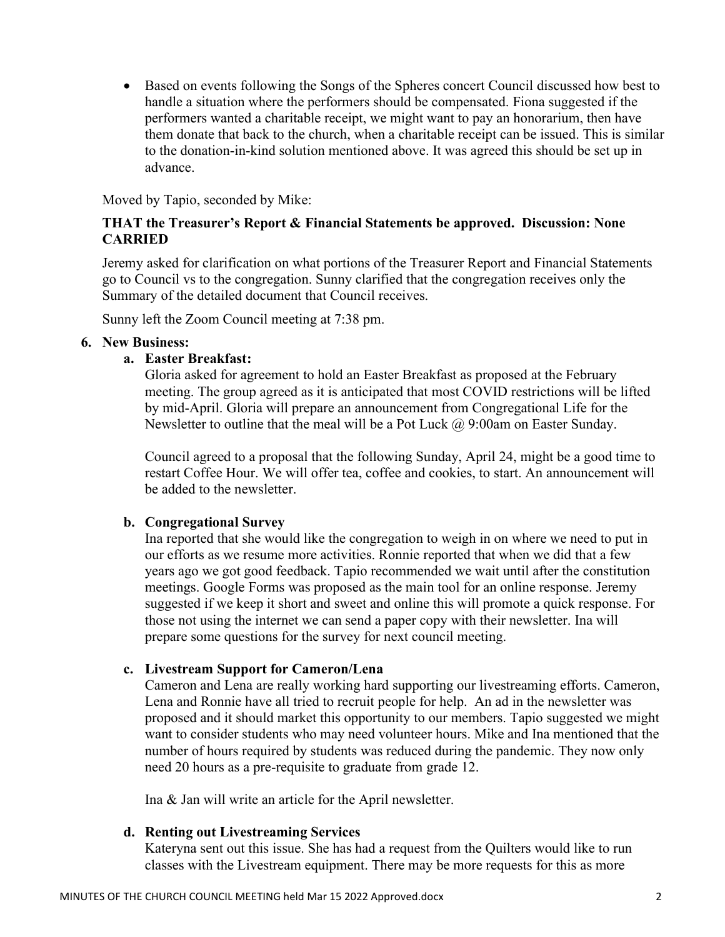Based on events following the Songs of the Spheres concert Council discussed how best to handle a situation where the performers should be compensated. Fiona suggested if the performers wanted a charitable receipt, we might want to pay an honorarium, then have them donate that back to the church, when a charitable receipt can be issued. This is similar to the donation-in-kind solution mentioned above. It was agreed this should be set up in advance.

Moved by Tapio, seconded by Mike:

# THAT the Treasurer's Report & Financial Statements be approved. Discussion: None CARRIED

Jeremy asked for clarification on what portions of the Treasurer Report and Financial Statements go to Council vs to the congregation. Sunny clarified that the congregation receives only the Summary of the detailed document that Council receives.

Sunny left the Zoom Council meeting at 7:38 pm.

### 6. New Business:

### a. Easter Breakfast:

Gloria asked for agreement to hold an Easter Breakfast as proposed at the February meeting. The group agreed as it is anticipated that most COVID restrictions will be lifted by mid-April. Gloria will prepare an announcement from Congregational Life for the Newsletter to outline that the meal will be a Pot Luck  $(a)$  9:00am on Easter Sunday.

Council agreed to a proposal that the following Sunday, April 24, might be a good time to restart Coffee Hour. We will offer tea, coffee and cookies, to start. An announcement will be added to the newsletter.

# b. Congregational Survey

Ina reported that she would like the congregation to weigh in on where we need to put in our efforts as we resume more activities. Ronnie reported that when we did that a few years ago we got good feedback. Tapio recommended we wait until after the constitution meetings. Google Forms was proposed as the main tool for an online response. Jeremy suggested if we keep it short and sweet and online this will promote a quick response. For those not using the internet we can send a paper copy with their newsletter. Ina will prepare some questions for the survey for next council meeting.

# c. Livestream Support for Cameron/Lena

Cameron and Lena are really working hard supporting our livestreaming efforts. Cameron, Lena and Ronnie have all tried to recruit people for help. An ad in the newsletter was proposed and it should market this opportunity to our members. Tapio suggested we might want to consider students who may need volunteer hours. Mike and Ina mentioned that the number of hours required by students was reduced during the pandemic. They now only need 20 hours as a pre-requisite to graduate from grade 12.

Ina & Jan will write an article for the April newsletter.

### d. Renting out Livestreaming Services

Kateryna sent out this issue. She has had a request from the Quilters would like to run classes with the Livestream equipment. There may be more requests for this as more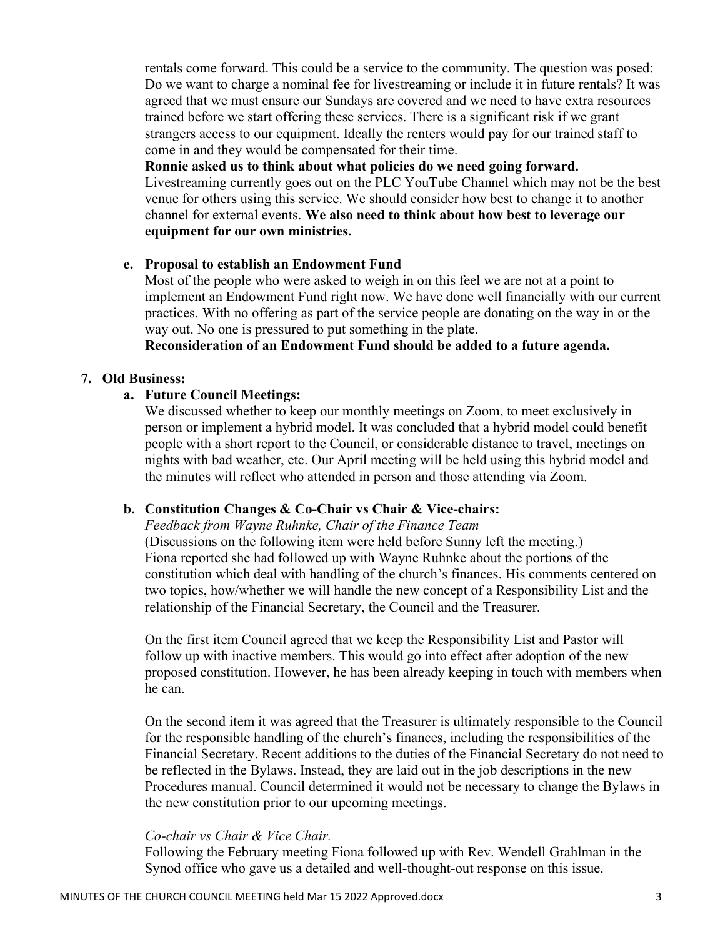rentals come forward. This could be a service to the community. The question was posed: Do we want to charge a nominal fee for livestreaming or include it in future rentals? It was agreed that we must ensure our Sundays are covered and we need to have extra resources trained before we start offering these services. There is a significant risk if we grant strangers access to our equipment. Ideally the renters would pay for our trained staff to come in and they would be compensated for their time.

Ronnie asked us to think about what policies do we need going forward. Livestreaming currently goes out on the PLC YouTube Channel which may not be the best

venue for others using this service. We should consider how best to change it to another channel for external events. We also need to think about how best to leverage our equipment for our own ministries.

#### e. Proposal to establish an Endowment Fund

Most of the people who were asked to weigh in on this feel we are not at a point to implement an Endowment Fund right now. We have done well financially with our current practices. With no offering as part of the service people are donating on the way in or the way out. No one is pressured to put something in the plate.

Reconsideration of an Endowment Fund should be added to a future agenda.

#### 7. Old Business:

### a. Future Council Meetings:

We discussed whether to keep our monthly meetings on Zoom, to meet exclusively in person or implement a hybrid model. It was concluded that a hybrid model could benefit people with a short report to the Council, or considerable distance to travel, meetings on nights with bad weather, etc. Our April meeting will be held using this hybrid model and the minutes will reflect who attended in person and those attending via Zoom.

#### b. Constitution Changes & Co-Chair vs Chair & Vice-chairs:

Feedback from Wayne Ruhnke, Chair of the Finance Team (Discussions on the following item were held before Sunny left the meeting.) Fiona reported she had followed up with Wayne Ruhnke about the portions of the constitution which deal with handling of the church's finances. His comments centered on two topics, how/whether we will handle the new concept of a Responsibility List and the relationship of the Financial Secretary, the Council and the Treasurer.

On the first item Council agreed that we keep the Responsibility List and Pastor will follow up with inactive members. This would go into effect after adoption of the new proposed constitution. However, he has been already keeping in touch with members when he can.

On the second item it was agreed that the Treasurer is ultimately responsible to the Council for the responsible handling of the church's finances, including the responsibilities of the Financial Secretary. Recent additions to the duties of the Financial Secretary do not need to be reflected in the Bylaws. Instead, they are laid out in the job descriptions in the new Procedures manual. Council determined it would not be necessary to change the Bylaws in the new constitution prior to our upcoming meetings.

#### Co-chair vs Chair & Vice Chair.

Following the February meeting Fiona followed up with Rev. Wendell Grahlman in the Synod office who gave us a detailed and well-thought-out response on this issue.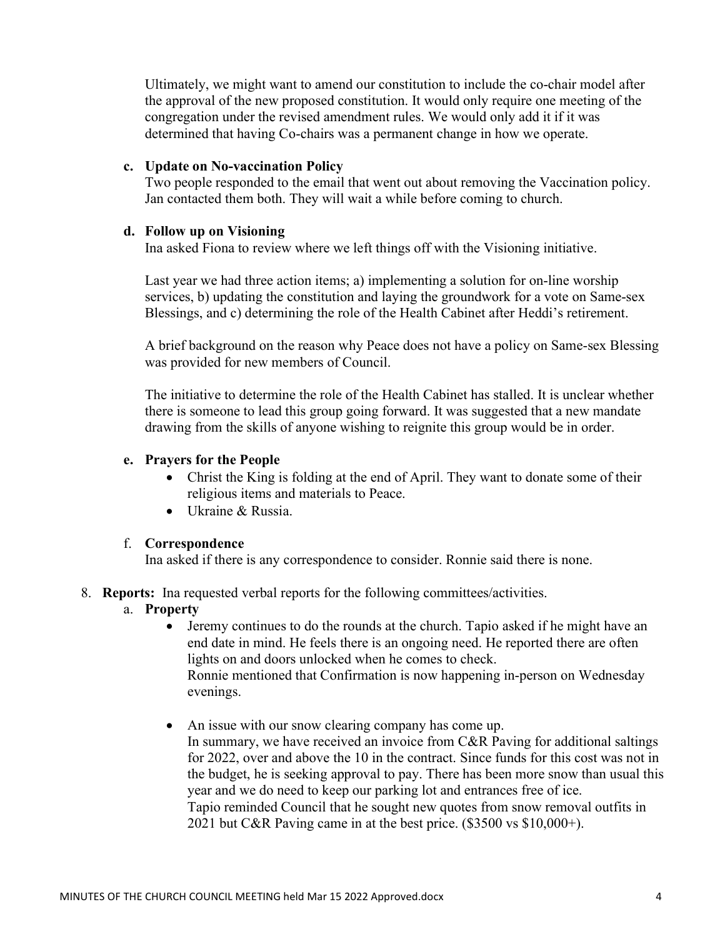Ultimately, we might want to amend our constitution to include the co-chair model after the approval of the new proposed constitution. It would only require one meeting of the congregation under the revised amendment rules. We would only add it if it was determined that having Co-chairs was a permanent change in how we operate.

### c. Update on No-vaccination Policy

Two people responded to the email that went out about removing the Vaccination policy. Jan contacted them both. They will wait a while before coming to church.

### d. Follow up on Visioning

Ina asked Fiona to review where we left things off with the Visioning initiative.

Last year we had three action items; a) implementing a solution for on-line worship services, b) updating the constitution and laying the groundwork for a vote on Same-sex Blessings, and c) determining the role of the Health Cabinet after Heddi's retirement.

A brief background on the reason why Peace does not have a policy on Same-sex Blessing was provided for new members of Council.

The initiative to determine the role of the Health Cabinet has stalled. It is unclear whether there is someone to lead this group going forward. It was suggested that a new mandate drawing from the skills of anyone wishing to reignite this group would be in order.

### e. Prayers for the People

- Christ the King is folding at the end of April. They want to donate some of their religious items and materials to Peace.
- Ukraine & Russia.

# f. Correspondence

Ina asked if there is any correspondence to consider. Ronnie said there is none.

# 8. Reports: Ina requested verbal reports for the following committees/activities.

#### a. Property

- Jeremy continues to do the rounds at the church. Tapio asked if he might have an end date in mind. He feels there is an ongoing need. He reported there are often lights on and doors unlocked when he comes to check. Ronnie mentioned that Confirmation is now happening in-person on Wednesday evenings.
- An issue with our snow clearing company has come up. In summary, we have received an invoice from C&R Paving for additional saltings for 2022, over and above the 10 in the contract. Since funds for this cost was not in the budget, he is seeking approval to pay. There has been more snow than usual this year and we do need to keep our parking lot and entrances free of ice. Tapio reminded Council that he sought new quotes from snow removal outfits in 2021 but C&R Paving came in at the best price. (\$3500 vs \$10,000+).